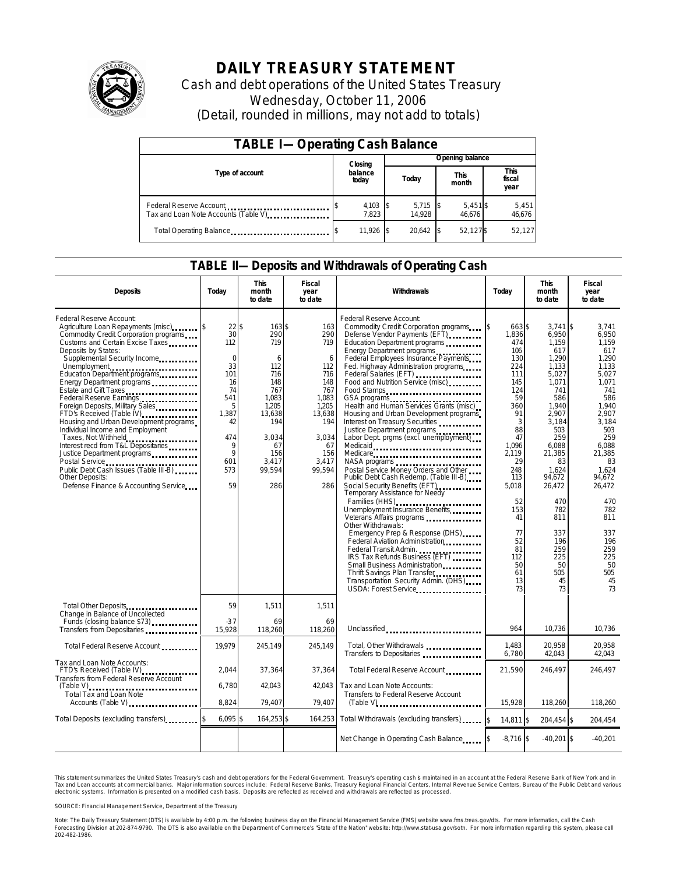

## **DAILY TREASURY STATEMENT**

Cash and debt operations of the United States Treasury Wednesday, October 11, 2006 (Detail, rounded in millions, may not add to totals)

| <b>TABLE I-Operating Cash Balance</b>                            |                     |  |                 |                      |                   |                               |                 |
|------------------------------------------------------------------|---------------------|--|-----------------|----------------------|-------------------|-------------------------------|-----------------|
|                                                                  | Closing             |  | Opening balance |                      |                   |                               |                 |
| Type of account                                                  | balance<br>today    |  | Today           | <b>This</b><br>month |                   | <b>This</b><br>fiscal<br>year |                 |
| Federal Reserve Account<br>Tax and Loan Note Accounts (Table V). | $4,103$ \$<br>7.823 |  | 5,715<br>14.928 |                      | 5,451\$<br>46.676 |                               | 5,451<br>46,676 |
| Total Operating Balance                                          | 11,926 \$           |  | 20.642          |                      | 52,127\$          |                               | 52,127          |

#### **TABLE II—Deposits and Withdrawals of Operating Cash**

| <b>Deposits</b>                                                                                                                                                                                                                                                                                                                                                                                                                                                                                                                                                                                                                                                                        | Today                                                                                                                             | <b>This</b><br>month<br>to date                                                                                                            | <b>Fiscal</b><br>year<br>to date                                                                                                      | Withdrawals                                                                                                                                                                                                                                                                                                                                                                                                                                                                                                                                                                                                                                                                                                                                                                                                                                                                                                                                                                                                                                                                                                                                    | Today                                                                                                                                                                                                                         | <b>This</b><br>month<br>to date                                                                                                                                                                                                                                | <b>Fiscal</b><br>year<br>to date                                                                                                                                                                                                                          |
|----------------------------------------------------------------------------------------------------------------------------------------------------------------------------------------------------------------------------------------------------------------------------------------------------------------------------------------------------------------------------------------------------------------------------------------------------------------------------------------------------------------------------------------------------------------------------------------------------------------------------------------------------------------------------------------|-----------------------------------------------------------------------------------------------------------------------------------|--------------------------------------------------------------------------------------------------------------------------------------------|---------------------------------------------------------------------------------------------------------------------------------------|------------------------------------------------------------------------------------------------------------------------------------------------------------------------------------------------------------------------------------------------------------------------------------------------------------------------------------------------------------------------------------------------------------------------------------------------------------------------------------------------------------------------------------------------------------------------------------------------------------------------------------------------------------------------------------------------------------------------------------------------------------------------------------------------------------------------------------------------------------------------------------------------------------------------------------------------------------------------------------------------------------------------------------------------------------------------------------------------------------------------------------------------|-------------------------------------------------------------------------------------------------------------------------------------------------------------------------------------------------------------------------------|----------------------------------------------------------------------------------------------------------------------------------------------------------------------------------------------------------------------------------------------------------------|-----------------------------------------------------------------------------------------------------------------------------------------------------------------------------------------------------------------------------------------------------------|
| Federal Reserve Account:<br>Agriculture Loan Repayments (misc)<br>Commodity Credit Corporation programs<br>Customs and Certain Excise Taxes<br>Deposits by States:<br>Supplemental Security Income<br>Unemployment<br>Education Department programs<br>Energy Department programs<br>Estate and Gift Taxes<br>Federal Reserve Earnings<br>Foreign Deposits, Military Sales<br>FTD's Received (Table IV)<br>Housing and Urban Development programs<br>Individual Income and Employment<br>Taxes, Not Withheld<br>Interest recd from T&L Depositaries<br>Justice Department programs<br>Public Debt Cash Issues (Table III-B)<br>Other Deposits:<br>Defense Finance & Accounting Service | $22\sqrt{3}$<br>30<br>112<br>$\mathbf 0$<br>33<br>101<br>16<br>74<br>541<br>5<br>1.387<br>42<br>474<br>9<br>9<br>601<br>573<br>59 | $163$ \$<br>290<br>719<br>6<br>112<br>716<br>148<br>767<br>1,083<br>1.205<br>13,638<br>194<br>3,034<br>67<br>156<br>3.417<br>99,594<br>286 | 163<br>290<br>719<br>6<br>112<br>716<br>148<br>767<br>1,083<br>1.205<br>13,638<br>194<br>3,034<br>67<br>156<br>3,417<br>99,594<br>286 | Federal Reserve Account:<br>Commodity Credit Corporation programs<br>Defense Vendor Payments (EFT)<br>Education Department programs<br>Energy Department programs<br>Federal Employees Insurance Payments<br>Fed. Highway Administration programs<br>Federal Salaries (EFT)<br>Federal Salaries (EFT)<br>Food and Nutrition Service (misc)<br>Food Stamps<br>GSA programs<br>Health and Human Services Grants (misc)<br>Housing and Urban Development programs<br>Interest on Treasury Securities<br>Justice Department programs<br>Labor Dept. prgms (excl. unemployment)<br>Medicaid<br>Medicare<br>Postal Service Money Orders and Other<br>Public Debt Cash Redemp. (Table III-B)<br>Social Security Benefits (EFT)<br>Temporary Assistance for Needy<br>Families (HHS)<br>Unemployment Insurance Benefits<br>Other Withdrawals:<br>Emergency Prep & Response (DHS)<br>Federal Aviation Administration<br>Federal Transit Admin.<br>IRS Tax Refunds Business (EFT)<br>Small Business Administration<br>Thrift Savings Plan Transfer<br>1991 - Thrift Savings Plan Transfer<br>Transportation Security Admin. (DHS)<br>USDA: Forest Service | \$<br>663 \$<br>1,836<br>474<br>106<br>130<br>224<br>111<br>145<br>124<br>59<br>360<br>91<br>3<br>88<br>47<br>1.096<br>2.119<br>29<br>248<br>113<br>5,018<br>52<br>153<br>41<br>77<br>52<br>81<br>112<br>50<br>61<br>13<br>73 | $3.741$ \$<br>6,950<br>1.159<br>617<br>1,290<br>1.133<br>5,027<br>1,071<br>741<br>586<br>1.940<br>2.907<br>3.184<br>503<br>259<br>6,088<br>21,385<br>83<br>1,624<br>94.672<br>26,472<br>470<br>782<br>811<br>337<br>196<br>259<br>225<br>50<br>505<br>45<br>73 | 3.741<br>6,950<br>1.159<br>617<br>1.290<br>1.133<br>5,027<br>1.071<br>741<br>586<br>1.940<br>2.907<br>3.184<br>503<br>259<br>6,088<br>21.385<br>83<br>1.624<br>94.672<br>26,472<br>470<br>782<br>811<br>337<br>196<br>259<br>225<br>50<br>505<br>45<br>73 |
| Total Other Deposits<br>Change in Balance of Uncollected<br>Funds (closing balance \$73)<br>Funds (closing balance \$73)                                                                                                                                                                                                                                                                                                                                                                                                                                                                                                                                                               | 59<br>$-37$                                                                                                                       | 1,511<br>69                                                                                                                                | 1,511<br>69                                                                                                                           |                                                                                                                                                                                                                                                                                                                                                                                                                                                                                                                                                                                                                                                                                                                                                                                                                                                                                                                                                                                                                                                                                                                                                |                                                                                                                                                                                                                               |                                                                                                                                                                                                                                                                |                                                                                                                                                                                                                                                           |
| Transfers from Depositaries                                                                                                                                                                                                                                                                                                                                                                                                                                                                                                                                                                                                                                                            | 15,928                                                                                                                            | 118,260                                                                                                                                    | 118,260                                                                                                                               | Unclassified                                                                                                                                                                                                                                                                                                                                                                                                                                                                                                                                                                                                                                                                                                                                                                                                                                                                                                                                                                                                                                                                                                                                   | 964                                                                                                                                                                                                                           | 10,736                                                                                                                                                                                                                                                         | 10,736                                                                                                                                                                                                                                                    |
| Total Federal Reserve Account                                                                                                                                                                                                                                                                                                                                                                                                                                                                                                                                                                                                                                                          | 19.979                                                                                                                            | 245,149                                                                                                                                    | 245.149                                                                                                                               | Total, Other Withdrawals<br>Transfers to Depositaries                                                                                                                                                                                                                                                                                                                                                                                                                                                                                                                                                                                                                                                                                                                                                                                                                                                                                                                                                                                                                                                                                          | 1.483<br>6,780                                                                                                                                                                                                                | 20.958<br>42,043                                                                                                                                                                                                                                               | 20.958<br>42,043                                                                                                                                                                                                                                          |
| Tax and Loan Note Accounts:<br>FTD's Received (Table IV)<br>Transfers from Federal Reserve Account                                                                                                                                                                                                                                                                                                                                                                                                                                                                                                                                                                                     | 2,044                                                                                                                             | 37,364                                                                                                                                     | 37,364                                                                                                                                | Total Federal Reserve Account                                                                                                                                                                                                                                                                                                                                                                                                                                                                                                                                                                                                                                                                                                                                                                                                                                                                                                                                                                                                                                                                                                                  | 21,590                                                                                                                                                                                                                        | 246,497                                                                                                                                                                                                                                                        | 246,497                                                                                                                                                                                                                                                   |
| Total Tax and Loan Note<br>Accounts (Table V)                                                                                                                                                                                                                                                                                                                                                                                                                                                                                                                                                                                                                                          | 6,780<br>8.824                                                                                                                    | 42,043<br>79.407                                                                                                                           | 42.043<br>79,407                                                                                                                      | Tax and Loan Note Accounts:<br>Transfers to Federal Reserve Account                                                                                                                                                                                                                                                                                                                                                                                                                                                                                                                                                                                                                                                                                                                                                                                                                                                                                                                                                                                                                                                                            | 15,928                                                                                                                                                                                                                        | 118,260                                                                                                                                                                                                                                                        | 118,260                                                                                                                                                                                                                                                   |
| Total Deposits (excluding transfers)                                                                                                                                                                                                                                                                                                                                                                                                                                                                                                                                                                                                                                                   | $6,095$ \$                                                                                                                        | 164,253 \$                                                                                                                                 | 164,253                                                                                                                               | Total Withdrawals (excluding transfers)                                                                                                                                                                                                                                                                                                                                                                                                                                                                                                                                                                                                                                                                                                                                                                                                                                                                                                                                                                                                                                                                                                        | $\mathsf{s}$<br>14.811 \$                                                                                                                                                                                                     | 204.454 \$                                                                                                                                                                                                                                                     | 204,454                                                                                                                                                                                                                                                   |
|                                                                                                                                                                                                                                                                                                                                                                                                                                                                                                                                                                                                                                                                                        |                                                                                                                                   |                                                                                                                                            |                                                                                                                                       | Net Change in Operating Cash Balance                                                                                                                                                                                                                                                                                                                                                                                                                                                                                                                                                                                                                                                                                                                                                                                                                                                                                                                                                                                                                                                                                                           | $-8,716$ \$                                                                                                                                                                                                                   | $-40.201$ \$                                                                                                                                                                                                                                                   | $-40,201$                                                                                                                                                                                                                                                 |

This statement summarizes the United States Treasury's cash and debt operations for the Federal Government. Treasury's operating cash is maintained in an account at the Federal Reserve Bank of New York and in Tax and Loan accounts at commercial banks. Major information sources include: Federal Reserve Banks, Treasury Regional Financial Centers, Internal Revenue Service Centers, Bureau of the Public Debt and various<br>electronic s

SOURCE: Financial Management Service, Department of the Treasury

Note: The Daily Treasury Statement (DTS) is available by 4:00 p.m. the following business day on the Financial Management Service (FMS) website www.fms.treas.gov/dts.<br>Forecasting Division at 202-874-9790. The DTS is also a 'S) is available by 4:00 p.m. the following business day on the Financial Management Service (FMS) website www.fms.treas.gov/dts. For more information, call the Cash<br>The DTS is also available on the Department of Commerce'